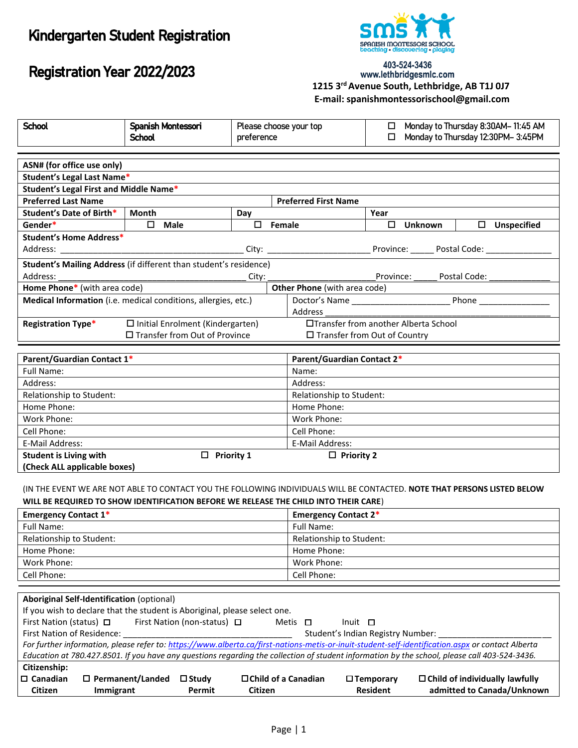# Kindergarten Student Registration

Registration Year 2022/2023



#### 403-524-3436 www.lethbridgesmlc.com  **1215 3rd Avenue South, Lethbridge, AB T1J 0J7 E-mail: spanishmontessorischool@gmail.com**

| <b>School</b>                                                                    | Spanish Montessori                                                                                                                                                                                              |            | Please choose your top         | Monday to Thursday 8:30AM-11:45 AM<br>ш |  |              |                    |  |  |
|----------------------------------------------------------------------------------|-----------------------------------------------------------------------------------------------------------------------------------------------------------------------------------------------------------------|------------|--------------------------------|-----------------------------------------|--|--------------|--------------------|--|--|
|                                                                                  | <b>School</b>                                                                                                                                                                                                   | preference |                                | Monday to Thursday 12:30PM-3:45PM<br>□  |  |              |                    |  |  |
|                                                                                  |                                                                                                                                                                                                                 |            |                                |                                         |  |              |                    |  |  |
| ASN# (for office use only)                                                       |                                                                                                                                                                                                                 |            |                                |                                         |  |              |                    |  |  |
| Student's Legal Last Name*                                                       |                                                                                                                                                                                                                 |            |                                |                                         |  |              |                    |  |  |
| Student's Legal First and Middle Name*                                           |                                                                                                                                                                                                                 |            |                                |                                         |  |              |                    |  |  |
| <b>Preferred Last Name</b>                                                       |                                                                                                                                                                                                                 |            | <b>Preferred First Name</b>    |                                         |  |              |                    |  |  |
| Student's Date of Birth*                                                         | <b>Month</b>                                                                                                                                                                                                    | Day        |                                | Year                                    |  |              |                    |  |  |
| Gender*                                                                          | Male<br>0                                                                                                                                                                                                       | □          | Female                         | □<br>Unknown                            |  | $\Box$       | <b>Unspecified</b> |  |  |
| <b>Student's Home Address*</b><br>Address:                                       |                                                                                                                                                                                                                 | City:      |                                | Province: Postal Code:                  |  |              |                    |  |  |
|                                                                                  | Student's Mailing Address (if different than student's residence)                                                                                                                                               |            |                                |                                         |  |              |                    |  |  |
| Address:                                                                         |                                                                                                                                                                                                                 | City:      |                                | Province:                               |  | Postal Code: |                    |  |  |
| Home Phone* (with area code)                                                     |                                                                                                                                                                                                                 |            | Other Phone (with area code)   |                                         |  |              |                    |  |  |
|                                                                                  | Medical Information (i.e. medical conditions, allergies, etc.)                                                                                                                                                  |            | Doctor's Name                  |                                         |  | Phone_       |                    |  |  |
|                                                                                  |                                                                                                                                                                                                                 |            | Address                        |                                         |  |              |                    |  |  |
| <b>Registration Type*</b>                                                        | □Transfer from another Alberta School<br>$\Box$ Initial Enrolment (Kindergarten)                                                                                                                                |            |                                |                                         |  |              |                    |  |  |
|                                                                                  | □ Transfer from Out of Province                                                                                                                                                                                 |            | □ Transfer from Out of Country |                                         |  |              |                    |  |  |
|                                                                                  |                                                                                                                                                                                                                 |            |                                |                                         |  |              |                    |  |  |
| Parent/Guardian Contact 1*                                                       |                                                                                                                                                                                                                 |            | Parent/Guardian Contact 2*     |                                         |  |              |                    |  |  |
| <b>Full Name:</b>                                                                |                                                                                                                                                                                                                 |            | Name:                          |                                         |  |              |                    |  |  |
| Address:                                                                         |                                                                                                                                                                                                                 |            | Address:                       |                                         |  |              |                    |  |  |
| Relationship to Student:                                                         |                                                                                                                                                                                                                 |            |                                | Relationship to Student:                |  |              |                    |  |  |
| Home Phone:                                                                      |                                                                                                                                                                                                                 |            | Home Phone:                    |                                         |  |              |                    |  |  |
| Work Phone:                                                                      |                                                                                                                                                                                                                 |            | Work Phone:                    |                                         |  |              |                    |  |  |
| Cell Phone:                                                                      |                                                                                                                                                                                                                 |            | Cell Phone:                    |                                         |  |              |                    |  |  |
| E-Mail Address:                                                                  |                                                                                                                                                                                                                 |            | E-Mail Address:                |                                         |  |              |                    |  |  |
| <b>Student is Living with</b>                                                    | $\Box$ Priority 1                                                                                                                                                                                               |            | $\Box$ Priority 2              |                                         |  |              |                    |  |  |
| (Check ALL applicable boxes)                                                     |                                                                                                                                                                                                                 |            |                                |                                         |  |              |                    |  |  |
|                                                                                  | IN THE EVENT WE ARE NOT ABLE TO CONTACT YOU THE FOLLOWING INDIVIDUALS WILL BE CONTACTED. NOTE THAT PERSONS LISTED BELOW<br>WILL BE REQUIRED TO SHOW IDENTIFICATION BEFORE WE RELEASE THE CHILD INTO THEIR CARE) |            |                                |                                         |  |              |                    |  |  |
| <b>Emergency Contact 1*</b>                                                      |                                                                                                                                                                                                                 |            | <b>Emergency Contact 2*</b>    |                                         |  |              |                    |  |  |
| <b>Full Name:</b>                                                                |                                                                                                                                                                                                                 |            | <b>Full Name:</b>              |                                         |  |              |                    |  |  |
| Relationship to Student:                                                         |                                                                                                                                                                                                                 |            | Relationship to Student:       |                                         |  |              |                    |  |  |
| Home Phone:                                                                      |                                                                                                                                                                                                                 |            | Home Phone:                    |                                         |  |              |                    |  |  |
| Work Phone:                                                                      |                                                                                                                                                                                                                 |            | Work Phone:                    |                                         |  |              |                    |  |  |
| Cell Phone:                                                                      |                                                                                                                                                                                                                 |            | Cell Phone:                    |                                         |  |              |                    |  |  |
| <b>Aboriginal Self-Identification (optional)</b><br>First Nation (status) $\Box$ | If you wish to declare that the student is Aboriginal, please select one.<br>First Nation (non-status) $\Box$                                                                                                   |            | Metis $\Pi$<br>$Init$ $\Box$   |                                         |  |              |                    |  |  |

| First Nation (status) $\Box$                                                                                                                      |                            | First Nation (non-status) $\Box$ | Metis $\Box$               |  | Inuit $\Box$ |                     |                                                                                                                                               |
|---------------------------------------------------------------------------------------------------------------------------------------------------|----------------------------|----------------------------------|----------------------------|--|--------------|---------------------|-----------------------------------------------------------------------------------------------------------------------------------------------|
| First Nation of Residence:                                                                                                                        |                            |                                  |                            |  |              |                     | Student's Indian Registry Number:                                                                                                             |
| For further information, please refer to: https://www.alberta.ca/first-nations-metis-or-inuit-student-self-identification.aspx or contact Alberta |                            |                                  |                            |  |              |                     |                                                                                                                                               |
|                                                                                                                                                   |                            |                                  |                            |  |              |                     | Education at 780.427.8501. If you have any questions regarding the collection of student information by the school, please call 403-524-3436. |
| Citizenship:                                                                                                                                      |                            |                                  |                            |  |              |                     |                                                                                                                                               |
| $\Box$ Canadian                                                                                                                                   | $\square$ Permanent/Landed | $\square$ Study                  | $\Box$ Child of a Canadian |  |              | $\square$ Temporary | $\Box$ Child of individually lawfully                                                                                                         |
| <b>Citizen</b>                                                                                                                                    | <b>Immigrant</b>           | Permit                           | <b>Citizen</b>             |  |              | <b>Resident</b>     | admitted to Canada/Unknown                                                                                                                    |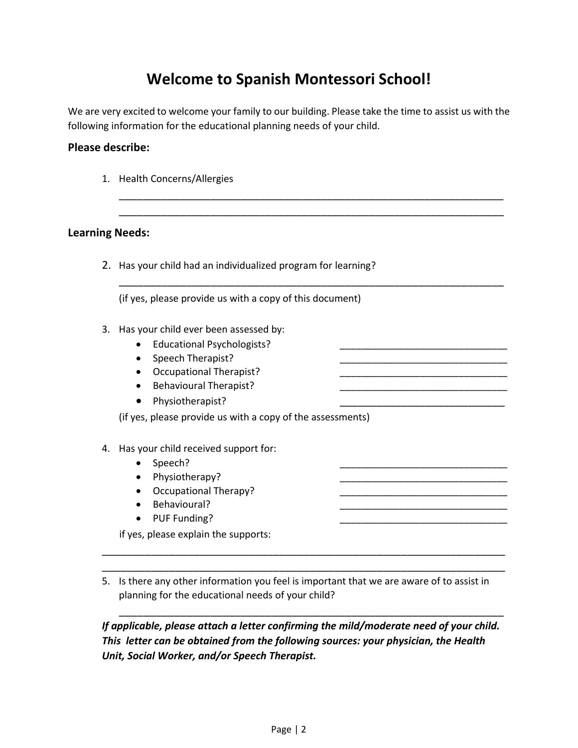# **Welcome to Spanish Montessori School!**

We are very excited to welcome your family to our building. Please take the time to assist us with the following information for the educational planning needs of your child.

> \_\_\_\_\_\_\_\_\_\_\_\_\_\_\_\_\_\_\_\_\_\_\_\_\_\_\_\_\_\_\_\_\_\_\_\_\_\_\_\_\_\_\_\_\_\_\_\_\_\_\_\_\_\_\_\_\_\_\_\_\_\_\_ \_\_\_\_\_\_\_\_\_\_\_\_\_\_\_\_\_\_\_\_\_\_\_\_\_\_\_\_\_\_\_\_\_\_\_\_\_\_\_\_\_\_\_\_\_\_\_\_\_\_\_\_\_\_\_\_\_\_\_\_\_\_\_

> \_\_\_\_\_\_\_\_\_\_\_\_\_\_\_\_\_\_\_\_\_\_\_\_\_\_\_\_\_\_\_\_\_\_\_\_\_\_\_\_\_\_\_\_\_\_\_\_\_\_\_\_\_\_\_\_\_\_\_\_\_\_\_

#### **Please describe:**

1. Health Concerns/Allergies

#### **Learning Needs:**

2. Has your child had an individualized program for learning?

(if yes, please provide us with a copy of this document)

- 3. Has your child ever been assessed by:
	- Educational Psychologists?
	- Speech Therapist?
	- Occupational Therapist?
	- Behavioural Therapist?
	- Physiotherapist?

(if yes, please provide us with a copy of the assessments)

- 4. Has your child received support for:
	- Speech?
	- Physiotherapy?
	- Occupational Therapy?
	- Behavioural?
	- PUF Funding?

if yes, please explain the supports:

5. Is there any other information you feel is important that we are aware of to assist in planning for the educational needs of your child?

\_\_\_\_\_\_\_\_\_\_\_\_\_\_\_\_\_\_\_\_\_\_\_\_\_\_\_\_\_\_\_\_\_\_\_\_\_\_\_\_\_\_\_\_\_\_\_\_\_\_\_\_\_\_\_\_\_\_\_\_\_\_\_\_\_\_ \_\_\_\_\_\_\_\_\_\_\_\_\_\_\_\_\_\_\_\_\_\_\_\_\_\_\_\_\_\_\_\_\_\_\_\_\_\_\_\_\_\_\_\_\_\_\_\_\_\_\_\_\_\_\_\_\_\_\_\_\_\_\_\_\_\_

*If applicable, please attach a letter confirming the mild/moderate need of your child. This letter can be obtained from the following sources: your physician, the Health Unit, Social Worker, and/or Speech Therapist.* 

\_\_\_\_\_\_\_\_\_\_\_\_\_\_\_\_\_\_\_\_\_\_\_\_\_\_\_\_\_\_\_\_\_\_\_\_\_\_\_\_\_\_\_\_\_\_\_\_\_\_\_\_\_\_\_\_\_\_\_\_\_\_\_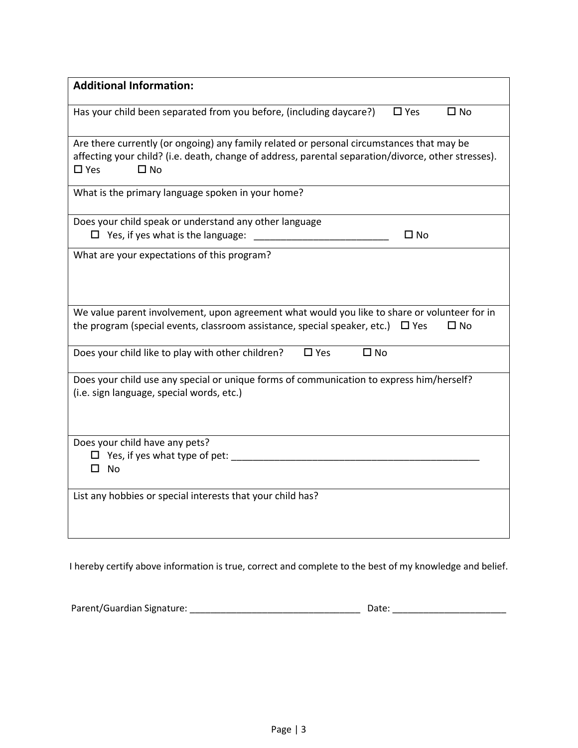| <b>Additional Information:</b>                                                                                                                                                                                                 |  |
|--------------------------------------------------------------------------------------------------------------------------------------------------------------------------------------------------------------------------------|--|
| Has your child been separated from you before, (including daycare?)<br>$\square$ Yes<br>$\square$ No                                                                                                                           |  |
| Are there currently (or ongoing) any family related or personal circumstances that may be<br>affecting your child? (i.e. death, change of address, parental separation/divorce, other stresses).<br>$\square$ Yes<br>$\Box$ No |  |
| What is the primary language spoken in your home?                                                                                                                                                                              |  |
| Does your child speak or understand any other language<br>$\Box$ Yes, if yes what is the language:<br>$\Box$ No                                                                                                                |  |
| What are your expectations of this program?                                                                                                                                                                                    |  |
| We value parent involvement, upon agreement what would you like to share or volunteer for in<br>the program (special events, classroom assistance, special speaker, etc.) $\Box$ Yes<br>$\Box$ No                              |  |
| Does your child like to play with other children?<br>$\square$ Yes<br>$\square$ No                                                                                                                                             |  |
| Does your child use any special or unique forms of communication to express him/herself?<br>(i.e. sign language, special words, etc.)                                                                                          |  |
| Does your child have any pets?<br>$\Box$ Yes, if yes what type of pet:<br>□ No                                                                                                                                                 |  |
| List any hobbies or special interests that your child has?                                                                                                                                                                     |  |

I hereby certify above information is true, correct and complete to the best of my knowledge and belief.

| Parent/Guardian Signature: | Date: |
|----------------------------|-------|
|----------------------------|-------|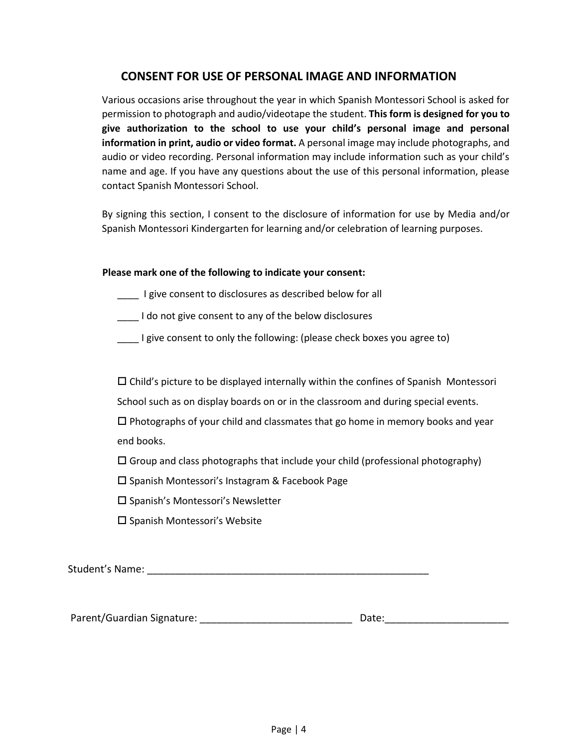### **CONSENT FOR USE OF PERSONAL IMAGE AND INFORMATION**

Various occasions arise throughout the year in which Spanish Montessori School is asked for permission to photograph and audio/videotape the student. **This form is designed for you to give authorization to the school to use your child's personal image and personal information in print, audio or video format.** A personal image may include photographs, and audio or video recording. Personal information may include information such as your child's name and age. If you have any questions about the use of this personal information, please contact Spanish Montessori School.

By signing this section, I consent to the disclosure of information for use by Media and/or Spanish Montessori Kindergarten for learning and/or celebration of learning purposes.

#### **Please mark one of the following to indicate your consent:**

**EXECUTE:** I give consent to disclosures as described below for all

\_\_\_\_ I do not give consent to any of the below disclosures

\_\_\_\_ I give consent to only the following: (please check boxes you agree to)

 $\square$  Child's picture to be displayed internally within the confines of Spanish Montessori

School such as on display boards on or in the classroom and during special events.

 $\Box$  Photographs of your child and classmates that go home in memory books and year end books.

 $\Box$  Group and class photographs that include your child (professional photography)

 $\square$  Spanish Montessori's Instagram & Facebook Page

 $\square$  Spanish's Montessori's Newsletter

 $\square$  Spanish Montessori's Website

Student's Name: \_\_\_\_\_\_\_\_\_\_\_\_\_\_\_\_\_\_\_\_\_\_\_\_\_\_\_\_\_\_\_\_\_\_\_\_\_\_\_\_\_\_\_\_\_\_\_\_\_\_

Parent/Guardian Signature: \_\_\_\_\_\_\_\_\_\_\_\_\_\_\_\_\_\_\_\_\_\_\_\_\_\_\_ Date:\_\_\_\_\_\_\_\_\_\_\_\_\_\_\_\_\_\_\_\_\_\_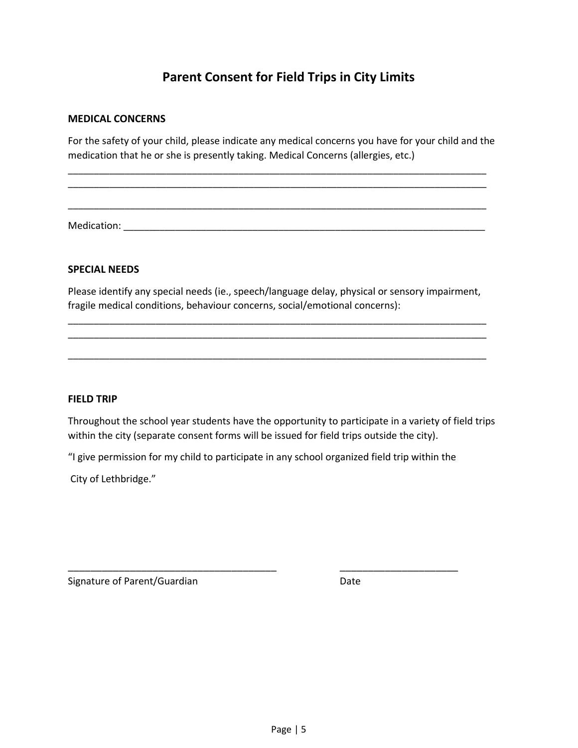## **Parent Consent for Field Trips in City Limits**

#### **MEDICAL CONCERNS**

For the safety of your child, please indicate any medical concerns you have for your child and the medication that he or she is presently taking. Medical Concerns (allergies, etc.)

\_\_\_\_\_\_\_\_\_\_\_\_\_\_\_\_\_\_\_\_\_\_\_\_\_\_\_\_\_\_\_\_\_\_\_\_\_\_\_\_\_\_\_\_\_\_\_\_\_\_\_\_\_\_\_\_\_\_\_\_\_\_\_\_\_\_\_\_\_\_\_\_\_\_\_\_\_\_\_\_\_ \_\_\_\_\_\_\_\_\_\_\_\_\_\_\_\_\_\_\_\_\_\_\_\_\_\_\_\_\_\_\_\_\_\_\_\_\_\_\_\_\_\_\_\_\_\_\_\_\_\_\_\_\_\_\_\_\_\_\_\_\_\_\_\_\_\_\_\_\_\_\_\_\_\_\_\_\_\_\_\_\_

\_\_\_\_\_\_\_\_\_\_\_\_\_\_\_\_\_\_\_\_\_\_\_\_\_\_\_\_\_\_\_\_\_\_\_\_\_\_\_\_\_\_\_\_\_\_\_\_\_\_\_\_\_\_\_\_\_\_\_\_\_\_\_\_\_\_\_\_\_\_\_\_\_\_\_\_\_\_\_\_\_

Medication: \_\_\_\_\_\_\_\_\_\_\_\_\_\_\_\_\_\_\_\_\_\_\_\_\_\_\_\_\_\_\_\_\_\_\_\_\_\_\_\_\_\_\_\_\_\_\_\_\_\_\_\_\_\_\_\_\_\_\_\_\_\_\_\_\_\_\_\_\_\_

#### **SPECIAL NEEDS**

Please identify any special needs (ie., speech/language delay, physical or sensory impairment, fragile medical conditions, behaviour concerns, social/emotional concerns):

\_\_\_\_\_\_\_\_\_\_\_\_\_\_\_\_\_\_\_\_\_\_\_\_\_\_\_\_\_\_\_\_\_\_\_\_\_\_\_\_\_\_\_\_\_\_\_\_\_\_\_\_\_\_\_\_\_\_\_\_\_\_\_\_\_\_\_\_\_\_\_\_\_\_\_\_\_\_\_\_\_ \_\_\_\_\_\_\_\_\_\_\_\_\_\_\_\_\_\_\_\_\_\_\_\_\_\_\_\_\_\_\_\_\_\_\_\_\_\_\_\_\_\_\_\_\_\_\_\_\_\_\_\_\_\_\_\_\_\_\_\_\_\_\_\_\_\_\_\_\_\_\_\_\_\_\_\_\_\_\_\_\_

\_\_\_\_\_\_\_\_\_\_\_\_\_\_\_\_\_\_\_\_\_\_\_\_\_\_\_\_\_\_\_\_\_\_\_\_\_\_\_\_\_\_\_\_\_\_\_\_\_\_\_\_\_\_\_\_\_\_\_\_\_\_\_\_\_\_\_\_\_\_\_\_\_\_\_\_\_\_\_\_\_

#### **FIELD TRIP**

Throughout the school year students have the opportunity to participate in a variety of field trips within the city (separate consent forms will be issued for field trips outside the city).

"I give permission for my child to participate in any school organized field trip within the

\_\_\_\_\_\_\_\_\_\_\_\_\_\_\_\_\_\_\_\_\_\_\_\_\_\_\_\_\_\_\_\_\_\_\_\_\_ \_\_\_\_\_\_\_\_\_\_\_\_\_\_\_\_\_\_\_\_\_

City of Lethbridge."

Signature of Parent/Guardian Date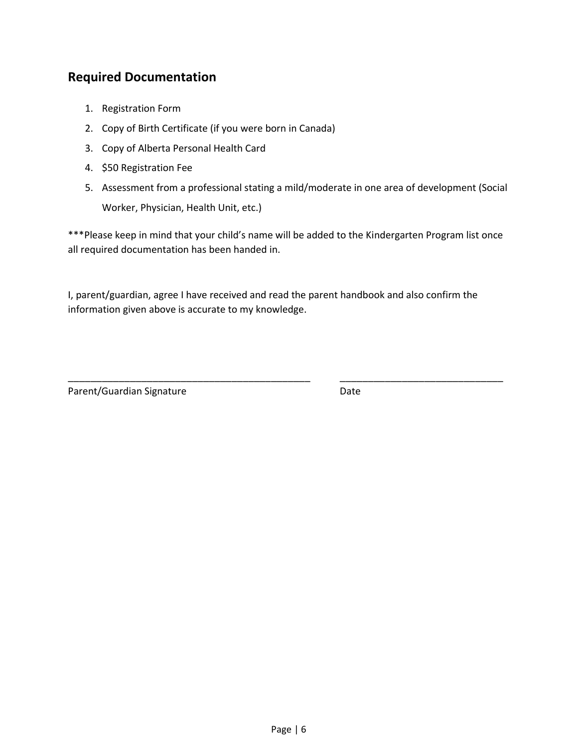## **Required Documentation**

- 1. Registration Form
- 2. Copy of Birth Certificate (if you were born in Canada)
- 3. Copy of Alberta Personal Health Card
- 4. \$50 Registration Fee
- 5. Assessment from a professional stating a mild/moderate in one area of development (Social Worker, Physician, Health Unit, etc.)

\*\*\*Please keep in mind that your child's name will be added to the Kindergarten Program list once all required documentation has been handed in.

I, parent/guardian, agree I have received and read the parent handbook and also confirm the information given above is accurate to my knowledge.

\_\_\_\_\_\_\_\_\_\_\_\_\_\_\_\_\_\_\_\_\_\_\_\_\_\_\_\_\_\_\_\_\_\_\_\_\_\_\_\_\_\_\_ \_\_\_\_\_\_\_\_\_\_\_\_\_\_\_\_\_\_\_\_\_\_\_\_\_\_\_\_\_

Parent/Guardian Signature Date